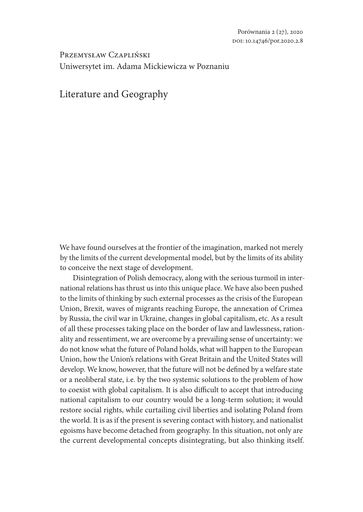Przemysław Czapliński Uniwersytet im. Adama Mickiewicza w Poznaniu

Literature and Geography

We have found ourselves at the frontier of the imagination, marked not merely by the limits of the current developmental model, but by the limits of its ability to conceive the next stage of development.

Disintegration of Polish democracy, along with the serious turmoil in international relations has thrust us into this unique place. We have also been pushed to the limits of thinking by such external processes as the crisis of the European Union, Brexit, waves of migrants reaching Europe, the annexation of Crimea by Russia, the civil war in Ukraine, changes in global capitalism, etc. As a result of all these processes taking place on the border of law and lawlessness, rationality and ressentiment, we are overcome by a prevailing sense of uncertainty: we do not know what the future of Poland holds, what will happen to the European Union, how the Union's relations with Great Britain and the United States will develop. We know, however, that the future will not be defined by a welfare state or a neoliberal state, i.e. by the two systemic solutions to the problem of how to coexist with global capitalism. It is also difficult to accept that introducing national capitalism to our country would be a long-term solution; it would restore social rights, while curtailing civil liberties and isolating Poland from the world. It is as if the present is severing contact with history, and nationalist egoisms have become detached from geography. In this situation, not only are the current developmental concepts disintegrating, but also thinking itself.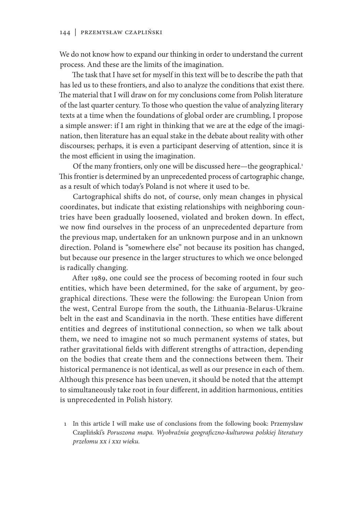We do not know how to expand our thinking in order to understand the current process. And these are the limits of the imagination.

The task that I have set for myself in this text will be to describe the path that has led us to these frontiers, and also to analyze the conditions that exist there. The material that I will draw on for my conclusions come from Polish literature of the last quarter century. To those who question the value of analyzing literary texts at a time when the foundations of global order are crumbling, I propose a simple answer: if I am right in thinking that we are at the edge of the imagination, then literature has an equal stake in the debate about reality with other discourses; perhaps, it is even a participant deserving of attention, since it is the most efficient in using the imagination.

Of the many frontiers, only one will be discussed here—the geographical.<sup>1</sup> This frontier is determined by an unprecedented process of cartographic change, as a result of which today's Poland is not where it used to be.

Cartographical shifts do not, of course, only mean changes in physical coordinates, but indicate that existing relationships with neighboring countries have been gradually loosened, violated and broken down. In effect, we now find ourselves in the process of an unprecedented departure from the previous map, undertaken for an unknown purpose and in an unknown direction. Poland is "somewhere else" not because its position has changed, but because our presence in the larger structures to which we once belonged is radically changing.

After 1989, one could see the process of becoming rooted in four such entities, which have been determined, for the sake of argument, by geographical directions. These were the following: the European Union from the west, Central Europe from the south, the Lithuania-Belarus-Ukraine belt in the east and Scandinavia in the north. These entities have different entities and degrees of institutional connection, so when we talk about them, we need to imagine not so much permanent systems of states, but rather gravitational fields with different strengths of attraction, depending on the bodies that create them and the connections between them. Their historical permanence is not identical, as well as our presence in each of them. Although this presence has been uneven, it should be noted that the attempt to simultaneously take root in four different, in addition harmonious, entities is unprecedented in Polish history.

1 In this article I will make use of conclusions from the following book: Przemysław Czapliński's *Poruszona mapa. Wyobraźnia geograficzno-kulturowa polskiej literatury przełomu XX i XXI wieku.*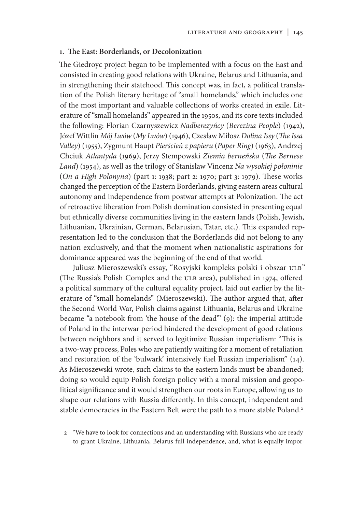#### **1. The East: Borderlands, or Decolonization**

The Giedroyc project began to be implemented with a focus on the East and consisted in creating good relations with Ukraine, Belarus and Lithuania, and in strengthening their statehood. This concept was, in fact, a political translation of the Polish literary heritage of "small homelands," which includes one of the most important and valuable collections of works created in exile. Literature of "small homelands" appeared in the 1950s, and its core texts included the following: Florian Czarnyszewicz *Nadberezyńcy* (*Berezina People*) (1942), Józef Wittlin *Mój Lwów* (*My Lwów*) (1946), Czesław Miłosz *Dolina Issy* (*The Issa Valley*) (1955), Zygmunt Haupt *Pierścień z papieru* (*Paper Ring*) (1963), Andrzej Chciuk *Atlantyda* (1969), Jerzy Stempowski *Ziemia berneńska* (*The Bernese Land*) (1954), as well as the trilogy of Stanisław Vincenz *Na wysokiej połoninie* (*On a High Polonyna*) (part 1: 1938; part 2: 1970; part 3: 1979). These works changed the perception of the Eastern Borderlands, giving eastern areas cultural autonomy and independence from postwar attempts at Polonization. The act of retroactive liberation from Polish domination consisted in presenting equal but ethnically diverse communities living in the eastern lands (Polish, Jewish, Lithuanian, Ukrainian, German, Belarusian, Tatar, etc.). This expanded representation led to the conclusion that the Borderlands did not belong to any nation exclusively, and that the moment when nationalistic aspirations for dominance appeared was the beginning of the end of that world.

Juliusz Mieroszewski's essay, "Rosyjski kompleks polski i obszar ULB" (The Russia's Polish Complex and the ULB area), published in 1974, offered a political summary of the cultural equality project, laid out earlier by the literature of "small homelands" (Mieroszewski). The author argued that, after the Second World War, Polish claims against Lithuania, Belarus and Ukraine became "a notebook from 'the house of the dead'" (9): the imperial attitude of Poland in the interwar period hindered the development of good relations between neighbors and it served to legitimize Russian imperialism: "This is a two-way process, Poles who are patiently waiting for a moment of retaliation and restoration of the 'bulwark' intensively fuel Russian imperialism" (14). As Mieroszewski wrote, such claims to the eastern lands must be abandoned; doing so would equip Polish foreign policy with a moral mission and geopolitical significance and it would strengthen our roots in Europe, allowing us to shape our relations with Russia differently. In this concept, independent and stable democracies in the Eastern Belt were the path to a more stable Poland.<sup>2</sup>

2 "We have to look for connections and an understanding with Russians who are ready to grant Ukraine, Lithuania, Belarus full independence, and, what is equally impor-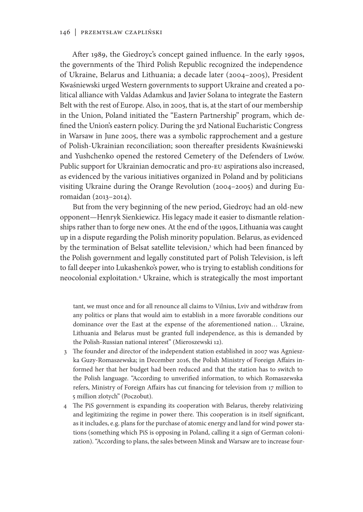#### 146 | Przemysław Czapliński

After 1989, the Giedroyc's concept gained influence. In the early 1990s, the governments of the Third Polish Republic recognized the independence of Ukraine, Belarus and Lithuania; a decade later (2004–2005), President Kwaśniewski urged Western governments to support Ukraine and created a political alliance with Valdas Adamkus and Javier Solana to integrate the Eastern Belt with the rest of Europe. Also, in 2005, that is, at the start of our membership in the Union, Poland initiated the "Eastern Partnership" program, which defined the Union's eastern policy. During the 3rd National Eucharistic Congress in Warsaw in June 2005, there was a symbolic rapprochement and a gesture of Polish-Ukrainian reconciliation; soon thereafter presidents Kwaśniewski and Yushchenko opened the restored Cemetery of the Defenders of Lwów. Public support for Ukrainian democratic and pro-EU aspirations also increased, as evidenced by the various initiatives organized in Poland and by politicians visiting Ukraine during the Orange Revolution (2004–2005) and during Euromaidan (2013–2014).

But from the very beginning of the new period, Giedroyc had an old-new opponent—Henryk Sienkiewicz. His legacy made it easier to dismantle relationships rather than to forge new ones. At the end of the 1990s, Lithuania was caught up in a dispute regarding the Polish minority population. Belarus, as evidenced by the termination of Belsat satellite television,<sup>3</sup> which had been financed by the Polish government and legally constituted part of Polish Television, is left to fall deeper into Lukashenko's power, who is trying to establish conditions for neocolonial exploitation.4 Ukraine, which is strategically the most important

tant, we must once and for all renounce all claims to Vilnius, Lviv and withdraw from any politics or plans that would aim to establish in a more favorable conditions our dominance over the East at the expense of the aforementioned nation… Ukraine, Lithuania and Belarus must be granted full independence, as this is demanded by the Polish-Russian national interest" (Mieroszewski 12).

- 3 The founder and director of the independent station established in 2007 was Agnieszka Guzy-Romaszewska; in December 2016, the Polish Ministry of Foreign Affairs informed her that her budget had been reduced and that the station has to switch to the Polish language. "According to unverified information, to which Romaszewska refers, Ministry of Foreign Affairs has cut financing for television from 17 million to 5 million zlotych" (Poczobut).
- 4 The PiS government is expanding its cooperation with Belarus, thereby relativizing and legitimizing the regime in power there. This cooperation is in itself significant, as it includes, e.g. plans for the purchase of atomic energy and land for wind power stations (something which PiS is opposing in Poland, calling it a sign of German colonization). "According to plans, the sales between Minsk and Warsaw are to increase four-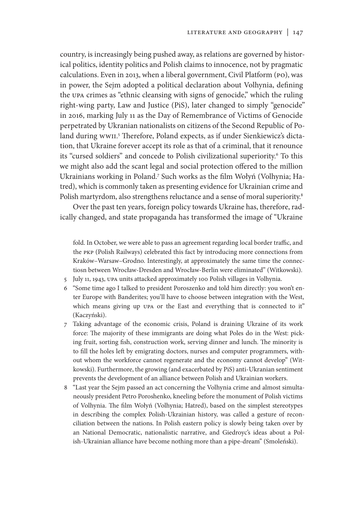country, is increasingly being pushed away, as relations are governed by historical politics, identity politics and Polish claims to innocence, not by pragmatic calculations. Even in 2013, when a liberal government, Civil Platform (PO), was in power, the Sejm adopted a political declaration about Volhynia, defining the UPA crimes as "ethnic cleansing with signs of genocide," which the ruling right-wing party, Law and Justice (PiS), later changed to simply "genocide" in 2016, marking July 11 as the Day of Remembrance of Victims of Genocide perpetrated by Ukranian nationalists on citizens of the Second Republic of Poland during WWII. 5 Therefore, Poland expects, as if under Sienkiewicz's dictation, that Ukraine forever accept its role as that of a criminal, that it renounce its "cursed soldiers" and concede to Polish civilizational superiority.6 To this we might also add the scant legal and social protection offered to the million Ukrainians working in Poland.<sup>7</sup> Such works as the film Wołyń (Volhynia; Hatred), which is commonly taken as presenting evidence for Ukrainian crime and Polish martyrdom, also strengthens reluctance and a sense of moral superiority.<sup>8</sup>

Over the past ten years, foreign policy towards Ukraine has, therefore, radically changed, and state propaganda has transformed the image of "Ukraine

fold. In October, we were able to pass an agreement regarding local border traffic, and the PKP (Polish Railways) celebrated this fact by introducing more connections from Kraków–Warsaw–Grodno. Interestingly, at approximately the same time the connectiosn between Wrocław-Dresden and Wrocław-Berlin were eliminated" (Witkowski).

- 5 July 11, 1943, UPA units attacked approximately 100 Polish villages in Volhynia.
- 6 "Some time ago I talked to president Poroszenko and told him directly: you won't enter Europe with Banderites; you'll have to choose between integration with the West, which means giving up UPA or the East and everything that is connected to it" (Kaczyński).
- 7 Taking advantage of the economic crisis, Poland is draining Ukraine of its work force: The majority of these immigrants are doing what Poles do in the West: picking fruit, sorting fish, construction work, serving dinner and lunch. The minority is to fill the holes left by emigrating doctors, nurses and computer programmers, without whom the workforce cannot regenerate and the economy cannot develop" (Witkowski). Furthermore, the growing (and exacerbated by PiS) anti-Ukranian sentiment prevents the development of an alliance between Polish and Ukrainian workers.
- 8 "Last year the Sejm passed an act concerning the Volhynia crime and almost simultaneously president Petro Poroshenko, kneeling before the monument of Polish victims of Volhynia. The film Wołyń (Volhynia; Hatred), based on the simplest stereotypes in describing the complex Polish-Ukrainian history, was called a gesture of reconciliation between the nations. In Polish eastern policy is slowly being taken over by an National Democratic, nationalistic narrative, and Giedroyc's ideas about a Polish-Ukrainian alliance have become nothing more than a pipe-dream" (Smoleński).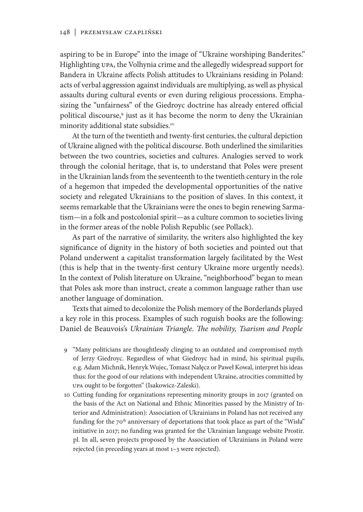aspiring to be in Europe" into the image of "Ukraine worshiping Banderites." Highlighting UPA, the Volhynia crime and the allegedly widespread support for Bandera in Ukraine affects Polish attitudes to Ukrainians residing in Poland: acts of verbal aggression against individuals are multiplying, as well as physical assaults during cultural events or even during religious processions. Emphasizing the "unfairness" of the Giedroyc doctrine has already entered official political discourse,9 just as it has become the norm to deny the Ukrainian minority additional state subsidies.10

At the turn of the twentieth and twenty-first centuries, the cultural depiction of Ukraine aligned with the political discourse. Both underlined the similarities between the two countries, societies and cultures. Analogies served to work through the colonial heritage, that is, to understand that Poles were present in the Ukrainian lands from the seventeenth to the twentieth century in the role of a hegemon that impeded the developmental opportunities of the native society and relegated Ukrainians to the position of slaves. In this context, it seems remarkable that the Ukrainians were the ones to begin renewing Sarmatism—in a folk and postcolonial spirit—as a culture common to societies living in the former areas of the noble Polish Republic (see Pollack).

As part of the narrative of similarity, the writers also highlighted the key significance of dignity in the history of both societies and pointed out that Poland underwent a capitalist transformation largely facilitated by the West (this is help that in the twenty-first century Ukraine more urgently needs). In the context of Polish literature on Ukraine, "neighborhood" began to mean that Poles ask more than instruct, create a common language rather than use another language of domination.

Texts that aimed to decolonize the Polish memory of the Borderlands played a key role in this process. Examples of such roguish books are the following: Daniel de Beauvois's *Ukrainian Triangle. The nobility, Tsarism and People* 

- 9 "Many politicians are thoughtlessly clinging to an outdated and compromised myth of Jerzy Giedroyc. Regardless of what Giedroyc had in mind, his spiritual pupils, e.g. Adam Michnik, Henryk Wujec, Tomasz Nałęcz or Paweł Kowal, interpret his ideas thus: for the good of our relations with independent Ukraine, atrocities committed by UPA ought to be forgotten" (Isakowicz-Zaleski).
- 10 Cutting funding for organizations representing minority groups in 2017 (granted on the basis of the Act on National and Ethnic Minorities passed by the Ministry of Interior and Administration): Association of Ukrainians in Poland has not received any funding for the 70<sup>th</sup> anniversary of deportations that took place as part of the "Wisła" initiative in 2017; no funding was granted for the Ukrainian language website Prostir. pl. In all, seven projects proposed by the Association of Ukrainians in Poland were rejected (in preceding years at most 1–3 were rejected).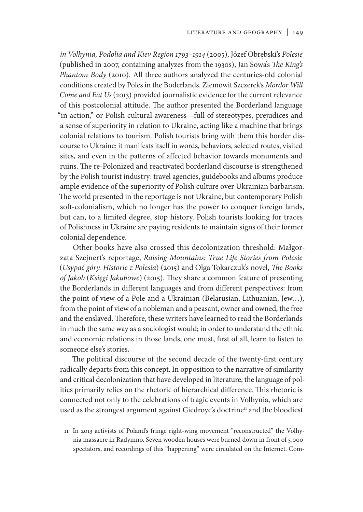*in Volhynia, Podolia and Kiev Region 1793*–*1914* (2005), Józef Obrębski's *Polesie* (published in 2007, containing analyzes from the 1930s), Jan Sowa's *The King's Phantom Body* (2010). All three authors analyzed the centuries-old colonial conditions created by Poles in the Boderlands. Ziemowit Szczerek's *Mordor Will Come and Eat Us* (2013) provided journalistic evidence for the current relevance of this postcolonial attitude. The author presented the Borderland language "in action," or Polish cultural awareness—full of stereotypes, prejudices and a sense of superiority in relation to Ukraine, acting like a machine that brings colonial relations to tourism. Polish tourists bring with them this border discourse to Ukraine: it manifests itself in words, behaviors, selected routes, visited sites, and even in the patterns of affected behavior towards monuments and ruins. The re-Polonized and reactivated borderland discourse is strengthened by the Polish tourist industry: travel agencies, guidebooks and albums produce ample evidence of the superiority of Polish culture over Ukrainian barbarism. The world presented in the reportage is not Ukraine, but contemporary Polish soft-colonialism, which no longer has the power to conquer foreign lands, but can, to a limited degree, stop history. Polish tourists looking for traces of Polishness in Ukraine are paying residents to maintain signs of their former colonial dependence.

Other books have also crossed this decolonization threshold: Małgorzata Szejnert's reportage, *Raising Mountains: True Life Stories from Polesie* (*Usypać góry. Historie z Polesia*) (2015) and Olga Tokarczuk's novel, *The Books of Jakob* (*Księgi Jakubowe*) (2015). They share a common feature of presenting the Borderlands in different languages and from different perspectives: from the point of view of a Pole and a Ukrainian (Belarusian, Lithuanian, Jew…), from the point of view of a nobleman and a peasant, owner and owned, the free and the enslaved. Therefore, these writers have learned to read the Borderlands in much the same way as a sociologist would; in order to understand the ethnic and economic relations in those lands, one must, first of all, learn to listen to someone else's stories.

The political discourse of the second decade of the twenty-first century radically departs from this concept. In opposition to the narrative of similarity and critical decolonization that have developed in literature, the language of politics primarily relies on the rhetoric of hierarchical difference. This rhetoric is connected not only to the celebrations of tragic events in Volhynia, which are used as the strongest argument against Giedroyc's doctrine<sup>11</sup> and the bloodiest

11 In 2013 activists of Poland's fringe right-wing movement "reconstructed" the Volhynia massacre in Radymno. Seven wooden houses were burned down in front of 5,000 spectators, and recordings of this "happening" were circulated on the Internet. Com-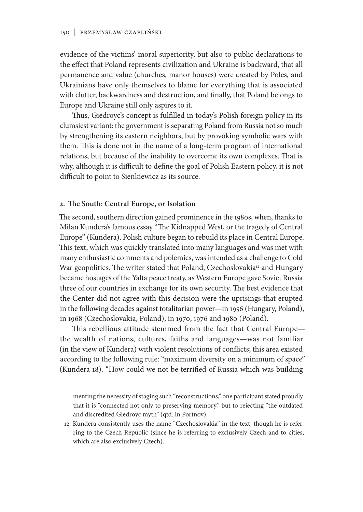evidence of the victims' moral superiority, but also to public declarations to the effect that Poland represents civilization and Ukraine is backward, that all permanence and value (churches, manor houses) were created by Poles, and Ukrainians have only themselves to blame for everything that is associated with clutter, backwardness and destruction, and finally, that Poland belongs to Europe and Ukraine still only aspires to it.

Thus, Giedroyc's concept is fulfilled in today's Polish foreign policy in its clumsiest variant: the government is separating Poland from Russia not so much by strengthening its eastern neighbors, but by provoking symbolic wars with them. This is done not in the name of a long-term program of international relations, but because of the inability to overcome its own complexes. That is why, although it is difficult to define the goal of Polish Eastern policy, it is not difficult to point to Sienkiewicz as its source.

#### **2. The South: Central Europe, or Isolation**

The second, southern direction gained prominence in the 1980s, when, thanks to Milan Kundera's famous essay "The Kidnapped West, or the tragedy of Central Europe" (Kundera), Polish culture began to rebuild its place in Central Europe. This text, which was quickly translated into many languages and was met with many enthusiastic comments and polemics, was intended as a challenge to Cold War geopolitics. The writer stated that Poland, Czechoslovakia<sup>12</sup> and Hungary became hostages of the Yalta peace treaty, as Western Europe gave Soviet Russia three of our countries in exchange for its own security. The best evidence that the Center did not agree with this decision were the uprisings that erupted in the following decades against totalitarian power—in 1956 (Hungary, Poland), in 1968 (Czechoslovakia, Poland), in 1970, 1976 and 1980 (Poland).

This rebellious attitude stemmed from the fact that Central Europe the wealth of nations, cultures, faiths and languages—was not familiar (in the view of Kundera) with violent resolutions of conflicts; this area existed according to the following rule: "maximum diversity on a minimum of space" (Kundera 18). "How could we not be terrified of Russia which was building

menting the necessity of staging such "reconstructions," one participant stated proudly that it is "connected not only to preserving memory," but to rejecting "the outdated and discredited Giedroyc myth" (qtd. in Portnov).

12 Kundera consistently uses the name "Czechoslovakia" in the text, though he is referring to the Czech Republic (since he is referring to exclusively Czech and to cities, which are also exclusively Czech).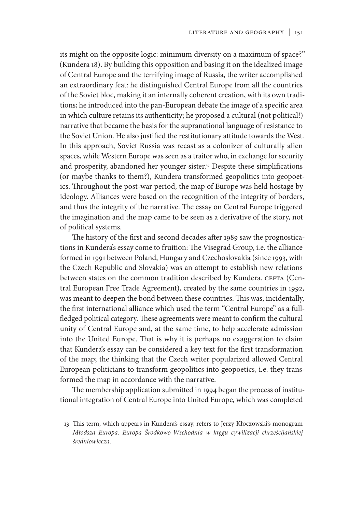its might on the opposite logic: minimum diversity on a maximum of space?" (Kundera 18). By building this opposition and basing it on the idealized image of Central Europe and the terrifying image of Russia, the writer accomplished an extraordinary feat: he distinguished Central Europe from all the countries of the Soviet bloc, making it an internally coherent creation, with its own traditions; he introduced into the pan-European debate the image of a specific area in which culture retains its authenticity; he proposed a cultural (not political!) narrative that became the basis for the supranational language of resistance to the Soviet Union. He also justified the restitutionary attitude towards the West. In this approach, Soviet Russia was recast as a colonizer of culturally alien spaces, while Western Europe was seen as a traitor who, in exchange for security and prosperity, abandoned her younger sister.13 Despite these simplifications (or maybe thanks to them?), Kundera transformed geopolitics into geopoetics. Throughout the post-war period, the map of Europe was held hostage by ideology. Alliances were based on the recognition of the integrity of borders, and thus the integrity of the narrative. The essay on Central Europe triggered the imagination and the map came to be seen as a derivative of the story, not of political systems.

The history of the first and second decades after 1989 saw the prognostications in Kundera's essay come to fruition: The Visegrad Group, i.e. the alliance formed in 1991 between Poland, Hungary and Czechoslovakia (since 1993, with the Czech Republic and Slovakia) was an attempt to establish new relations between states on the common tradition described by Kundera. CEFTA (Central European Free Trade Agreement), created by the same countries in 1992, was meant to deepen the bond between these countries. This was, incidentally, the first international alliance which used the term "Central Europe" as a fullfledged political category. These agreements were meant to confirm the cultural unity of Central Europe and, at the same time, to help accelerate admission into the United Europe. That is why it is perhaps no exaggeration to claim that Kundera's essay can be considered a key text for the first transformation of the map; the thinking that the Czech writer popularized allowed Central European politicians to transform geopolitics into geopoetics, i.e. they transformed the map in accordance with the narrative.

The membership application submitted in 1994 began the process of institutional integration of Central Europe into United Europe, which was completed

<sup>13</sup> This term, which appears in Kundera's essay, refers to Jerzy Kłoczowski's monogram *Młodsza Europa. Europa Środkowo-Wschodnia w kręgu cywilizacji chrześcijańskiej średniowiecza*.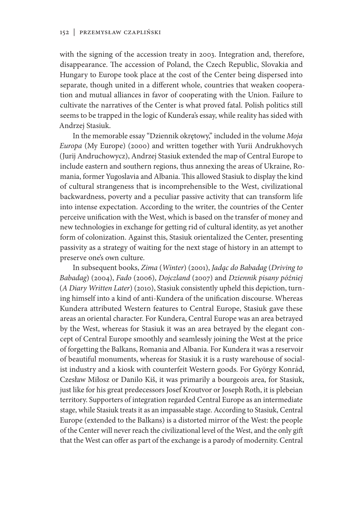with the signing of the accession treaty in 2003. Integration and, therefore, disappearance. The accession of Poland, the Czech Republic, Slovakia and Hungary to Europe took place at the cost of the Center being dispersed into separate, though united in a different whole, countries that weaken cooperation and mutual alliances in favor of cooperating with the Union. Failure to cultivate the narratives of the Center is what proved fatal. Polish politics still seems to be trapped in the logic of Kundera's essay, while reality has sided with Andrzej Stasiuk.

In the memorable essay "Dziennik okrętowy," included in the volume *Moja Europa* (My Europe) (2000) and written together with Yurii Andrukhovych (Jurij Andruchowycz), Andrzej Stasiuk extended the map of Central Europe to include eastern and southern regions, thus annexing the areas of Ukraine, Romania, former Yugoslavia and Albania. This allowed Stasiuk to display the kind of cultural strangeness that is incomprehensible to the West, civilizational backwardness, poverty and a peculiar passive activity that can transform life into intense expectation. According to the writer, the countries of the Center perceive unification with the West, which is based on the transfer of money and new technologies in exchange for getting rid of cultural identity, as yet another form of colonization. Against this, Stasiuk orientalized the Center, presenting passivity as a strategy of waiting for the next stage of history in an attempt to preserve one's own culture.

In subsequent books, *Zima* (*Winter*) (2001), *Jadąc do Babadag* (*Driving to Babadag*) (2004), *Fado* (2006), *Dojczland* (2007) and *Dziennik pisany później* (*A Diary Written Later*) (2010), Stasiuk consistently upheld this depiction, turning himself into a kind of anti-Kundera of the unification discourse. Whereas Kundera attributed Western features to Central Europe, Stasiuk gave these areas an oriental character. For Kundera, Central Europe was an area betrayed by the West, whereas for Stasiuk it was an area betrayed by the elegant concept of Central Europe smoothly and seamlessly joining the West at the price of forgetting the Balkans, Romania and Albania. For Kundera it was a reservoir of beautiful monuments, whereas for Stasiuk it is a rusty warehouse of socialist industry and a kiosk with counterfeit Western goods. For György Konrád, Czesław Miłosz or Danilo Kiš, it was primarily a bourgeois area, for Stasiuk, just like for his great predecessors Josef Kroutvor or Joseph Roth, it is plebeian territory. Supporters of integration regarded Central Europe as an intermediate stage, while Stasiuk treats it as an impassable stage. According to Stasiuk, Central Europe (extended to the Balkans) is a distorted mirror of the West: the people of the Center will never reach the civilizational level of the West, and the only gift that the West can offer as part of the exchange is a parody of modernity. Central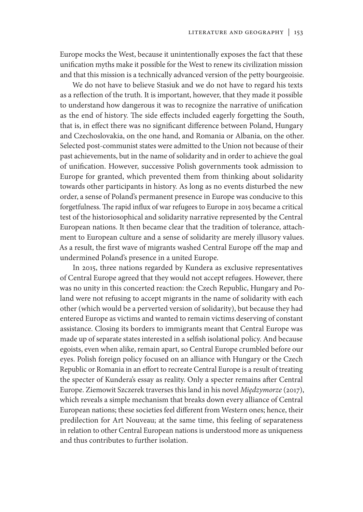Europe mocks the West, because it unintentionally exposes the fact that these unification myths make it possible for the West to renew its civilization mission and that this mission is a technically advanced version of the petty bourgeoisie.

We do not have to believe Stasiuk and we do not have to regard his texts as a reflection of the truth. It is important, however, that they made it possible to understand how dangerous it was to recognize the narrative of unification as the end of history. The side effects included eagerly forgetting the South, that is, in effect there was no significant difference between Poland, Hungary and Czechoslovakia, on the one hand, and Romania or Albania, on the other. Selected post-communist states were admitted to the Union not because of their past achievements, but in the name of solidarity and in order to achieve the goal of unification. However, successive Polish governments took admission to Europe for granted, which prevented them from thinking about solidarity towards other participants in history. As long as no events disturbed the new order, a sense of Poland's permanent presence in Europe was conducive to this forgetfulness. The rapid influx of war refugees to Europe in 2015 became a critical test of the historiosophical and solidarity narrative represented by the Central European nations. It then became clear that the tradition of tolerance, attachment to European culture and a sense of solidarity are merely illusory values. As a result, the first wave of migrants washed Central Europe off the map and undermined Poland's presence in a united Europe.

In 2015, three nations regarded by Kundera as exclusive representatives of Central Europe agreed that they would not accept refugees. However, there was no unity in this concerted reaction: the Czech Republic, Hungary and Poland were not refusing to accept migrants in the name of solidarity with each other (which would be a perverted version of solidarity), but because they had entered Europe as victims and wanted to remain victims deserving of constant assistance. Closing its borders to immigrants meant that Central Europe was made up of separate states interested in a selfish isolational policy. And because egoists, even when alike, remain apart, so Central Europe crumbled before our eyes. Polish foreign policy focused on an alliance with Hungary or the Czech Republic or Romania in an effort to recreate Central Europe is a result of treating the specter of Kundera's essay as reality. Only a specter remains after Central Europe. Ziemowit Szczerek traverses this land in his novel *Międzymorze* (2017), which reveals a simple mechanism that breaks down every alliance of Central European nations; these societies feel different from Western ones; hence, their predilection for Art Nouveau; at the same time, this feeling of separateness in relation to other Central European nations is understood more as uniqueness and thus contributes to further isolation.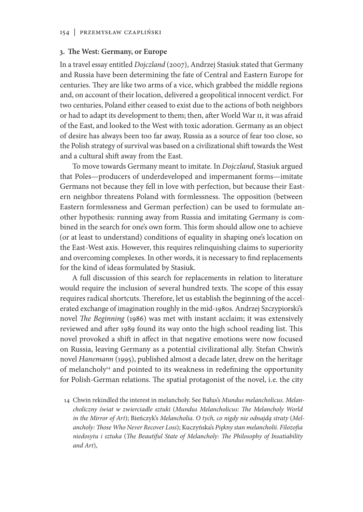#### **3. The West: Germany, or Europe**

In a travel essay entitled *Dojczland* (2007), Andrzej Stasiuk stated that Germany and Russia have been determining the fate of Central and Eastern Europe for centuries. They are like two arms of a vice, which grabbed the middle regions and, on account of their location, delivered a geopolitical innocent verdict. For two centuries, Poland either ceased to exist due to the actions of both neighbors or had to adapt its development to them; then, after World War II, it was afraid of the East, and looked to the West with toxic adoration. Germany as an object of desire has always been too far away, Russia as a source of fear too close, so the Polish strategy of survival was based on a civilizational shift towards the West and a cultural shift away from the East.

To move towards Germany meant to imitate. In *Dojczland*, Stasiuk argued that Poles—producers of underdeveloped and impermanent forms—imitate Germans not because they fell in love with perfection, but because their Eastern neighbor threatens Poland with formlessness. The opposition (between Eastern formlessness and German perfection) can be used to formulate another hypothesis: running away from Russia and imitating Germany is combined in the search for one's own form. This form should allow one to achieve (or at least to understand) conditions of equality in shaping one's location on the East-West axis. However, this requires relinquishing claims to superiority and overcoming complexes. In other words, it is necessary to find replacements for the kind of ideas formulated by Stasiuk.

A full discussion of this search for replacements in relation to literature would require the inclusion of several hundred texts. The scope of this essay requires radical shortcuts. Therefore, let us establish the beginning of the accelerated exchange of imagination roughly in the mid-1980s. Andrzej Szczypiorski's novel *The Beginning* (1986) was met with instant acclaim; it was extensively reviewed and after 1989 found its way onto the high school reading list. This novel provoked a shift in affect in that negative emotions were now focused on Russia, leaving Germany as a potential civilizational ally. Stefan Chwin's novel *Hanemann* (1995), published almost a decade later, drew on the heritage of melancholy<sup>14</sup> and pointed to its weakness in redefining the opportunity for Polish-German relations. The spatial protagonist of the novel, i.e. the city

14 Chwin rekindled the interest in melancholy. See Bałus's *Mundus melancholicus. Melancholiczny świat w zwierciadle sztuki* (*Mundus Melancholicus: The Melancholy World in the Mirror of Art*); Bieńczyk's *Melancholia. O tych, co nigdy nie odnajdą straty* (*Melancholy: Those Who Never Recover Loss*); Kuczyńska's *Piękny stan melancholii. Filozofia niedosytu i sztuka* (*The Beautiful State of Melancholy: The Philosophy of Insatiability and Art*),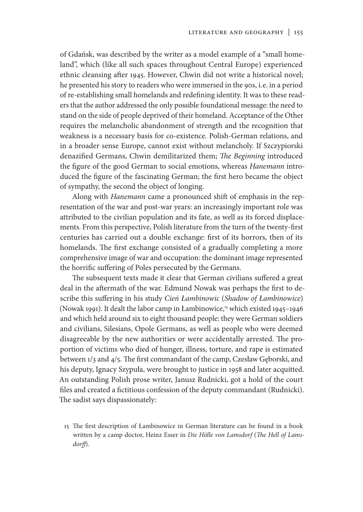of Gdańsk, was described by the writer as a model example of a "small homeland", which (like all such spaces throughout Central Europe) experienced ethnic cleansing after 1945. However, Chwin did not write a historical novel; he presented his story to readers who were immersed in the 90s, i.e. in a period of re-establishing small homelands and redefining identity. It was to these readers that the author addressed the only possible foundational message: the need to stand on the side of people deprived of their homeland. Acceptance of the Other requires the melancholic abandonment of strength and the recognition that weakness is a necessary basis for co-existence. Polish-German relations, and in a broader sense Europe, cannot exist without melancholy. If Szczypiorski denazified Germans, Chwin demilitarized them; *The Beginning* introduced the figure of the good German to social emotions, whereas *Hanemann* introduced the figure of the fascinating German; the first hero became the object of sympathy, the second the object of longing.

Along with *Hanemann* came a pronounced shift of emphasis in the representation of the war and post-war years: an increasingly important role was attributed to the civilian population and its fate, as well as its forced displacements. From this perspective, Polish literature from the turn of the twenty-first centuries has carried out a double exchange: first of its horrors, then of its homelands. The first exchange consisted of a gradually completing a more comprehensive image of war and occupation: the dominant image represented the horrific suffering of Poles persecuted by the Germans.

The subsequent texts made it clear that German civilians suffered a great deal in the aftermath of the war. Edmund Nowak was perhaps the first to describe this suffering in his study *Cień Łambinowic* (*Shadow of Łambinowice*) (Nowak 1991). It dealt the labor camp in Łambinowice,15 which existed 1945–1946 and which held around six to eight thousand people: they were German soldiers and civilians, Silesians, Opole Germans, as well as people who were deemed disagreeable by the new authorities or were accidentally arrested. The proportion of victims who died of hunger, illness, torture, and rape is estimated between 1/3 and 4/5. The first commandant of the camp, Czesław Gęborski, and his deputy, Ignacy Szypuła, were brought to justice in 1958 and later acquitted. An outstanding Polish prose writer, Janusz Rudnicki, got a hold of the court files and created a fictitious confession of the deputy commandant (Rudnicki). The sadist says dispassionately:

<sup>15</sup> The first description of Łambinowice in German literature can be found in a book written by a camp doctor, Heinz Esser in *Die Hölle von Lamsdorf* (*The Hell of Lamsdorff*).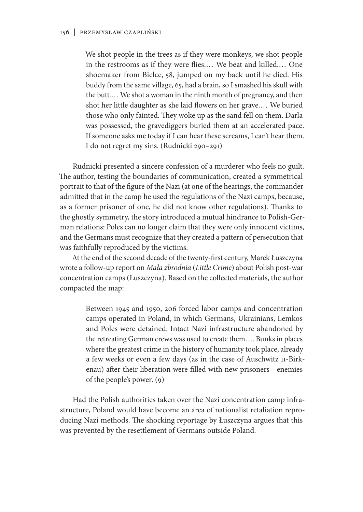We shot people in the trees as if they were monkeys, we shot people in the restrooms as if they were flies.… We beat and killed.… One shoemaker from Bielce, 58, jumped on my back until he died. His buddy from the same village, 65, had a brain, so I smashed his skull with the butt.… We shot a woman in the ninth month of pregnancy, and then shot her little daughter as she laid flowers on her grave.… We buried those who only fainted. They woke up as the sand fell on them. Darla was possessed, the gravediggers buried them at an accelerated pace. If someone asks me today if I can hear these screams, I can't hear them. I do not regret my sins. (Rudnicki 290–291)

Rudnicki presented a sincere confession of a murderer who feels no guilt. The author, testing the boundaries of communication, created a symmetrical portrait to that of the figure of the Nazi (at one of the hearings, the commander admitted that in the camp he used the regulations of the Nazi camps, because, as a former prisoner of one, he did not know other regulations). Thanks to the ghostly symmetry, the story introduced a mutual hindrance to Polish-German relations: Poles can no longer claim that they were only innocent victims, and the Germans must recognize that they created a pattern of persecution that was faithfully reproduced by the victims.

At the end of the second decade of the twenty-first century, Marek Łuszczyna wrote a follow-up report on *Mała zbrodnia* (*Little Crime*) about Polish post-war concentration camps (Łuszczyna). Based on the collected materials, the author compacted the map:

> Between 1945 and 1950, 206 forced labor camps and concentration camps operated in Poland, in which Germans, Ukrainians, Lemkos and Poles were detained. Intact Nazi infrastructure abandoned by the retreating German crews was used to create them…. Bunks in places where the greatest crime in the history of humanity took place, already a few weeks or even a few days (as in the case of Auschwitz II-Birkenau) after their liberation were filled with new prisoners—enemies of the people's power. (9)

Had the Polish authorities taken over the Nazi concentration camp infrastructure, Poland would have become an area of nationalist retaliation reproducing Nazi methods. The shocking reportage by Łuszczyna argues that this was prevented by the resettlement of Germans outside Poland.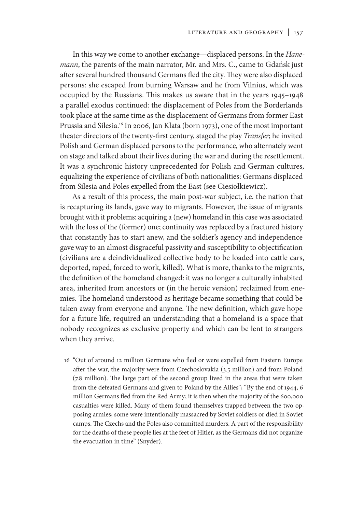In this way we come to another exchange—displaced persons. In the *Hanemann*, the parents of the main narrator, Mr. and Mrs. C., came to Gdańsk just after several hundred thousand Germans fled the city. They were also displaced persons: she escaped from burning Warsaw and he from Vilnius, which was occupied by the Russians. This makes us aware that in the years 1945–1948 a parallel exodus continued: the displacement of Poles from the Borderlands took place at the same time as the displacement of Germans from former East Prussia and Silesia.<sup>16</sup> In 2006, Jan Klata (born 1973), one of the most important theater directors of the twenty-first century, staged the play *Transfer*; he invited Polish and German displaced persons to the performance, who alternately went on stage and talked about their lives during the war and during the resettlement. It was a synchronic history unprecedented for Polish and German cultures, equalizing the experience of civilians of both nationalities: Germans displaced from Silesia and Poles expelled from the East (see Ciesiołkiewicz).

As a result of this process, the main post-war subject, i.e. the nation that is recapturing its lands, gave way to migrants. However, the issue of migrants brought with it problems: acquiring a (new) homeland in this case was associated with the loss of the (former) one; continuity was replaced by a fractured history that constantly has to start anew, and the soldier's agency and independence gave way to an almost disgraceful passivity and susceptibility to objectification (civilians are a deindividualized collective body to be loaded into cattle cars, deported, raped, forced to work, killed). What is more, thanks to the migrants, the definition of the homeland changed: it was no longer a culturally inhabited area, inherited from ancestors or (in the heroic version) reclaimed from enemies. The homeland understood as heritage became something that could be taken away from everyone and anyone. The new definition, which gave hope for a future life, required an understanding that a homeland is a space that nobody recognizes as exclusive property and which can be lent to strangers when they arrive.

16 "Out of around 12 million Germans who fled or were expelled from Eastern Europe after the war, the majority were from Czechoslovakia (3.5 million) and from Poland (7.8 million). The large part of the second group lived in the areas that were taken from the defeated Germans and given to Poland by the Allies"; "By the end of 1944, 6 million Germans fled from the Red Army; it is then when the majority of the 600,000 casualties were killed. Many of them found themselves trapped between the two opposing armies; some were intentionally massacred by Soviet soldiers or died in Soviet camps. The Czechs and the Poles also committed murders. A part of the responsibility for the deaths of these people lies at the feet of Hitler, as the Germans did not organize the evacuation in time" (Snyder).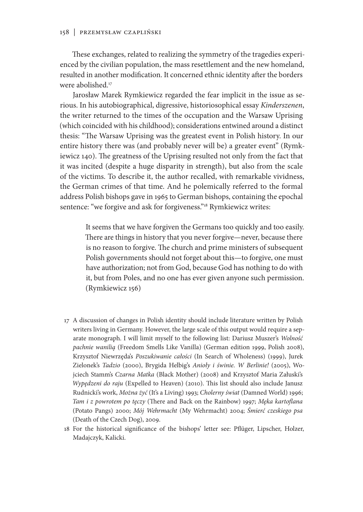These exchanges, related to realizing the symmetry of the tragedies experienced by the civilian population, the mass resettlement and the new homeland, resulted in another modification. It concerned ethnic identity after the borders were abolished.<sup>17</sup>

Jarosław Marek Rymkiewicz regarded the fear implicit in the issue as serious. In his autobiographical, digressive, historiosophical essay *Kinderszenen*, the writer returned to the times of the occupation and the Warsaw Uprising (which coincided with his childhood); considerations entwined around a distinct thesis: "The Warsaw Uprising was the greatest event in Polish history. In our entire history there was (and probably never will be) a greater event" (Rymkiewicz 140). The greatness of the Uprising resulted not only from the fact that it was incited (despite a huge disparity in strength), but also from the scale of the victims. To describe it, the author recalled, with remarkable vividness, the German crimes of that time. And he polemically referred to the formal address Polish bishops gave in 1965 to German bishops, containing the epochal sentence: "we forgive and ask for forgiveness."<sup>18</sup> Rymkiewicz writes:

> It seems that we have forgiven the Germans too quickly and too easily. There are things in history that you never forgive—never, because there is no reason to forgive. The church and prime ministers of subsequent Polish governments should not forget about this—to forgive, one must have authorization; not from God, because God has nothing to do with it, but from Poles, and no one has ever given anyone such permission. (Rymkiewicz 156)

- 17 A discussion of changes in Polish identity should include literature written by Polish writers living in Germany. However, the large scale of this output would require a separate monograph. I will limit myself to the following list: Dariusz Muszer's *Wolność pachnie wanilią* (Freedom Smells Like Vanilla) (German edition 1999, Polish 2008), Krzysztof Niewrzęda's *Poszukiwanie całości* (In Search of Wholeness) (1999), Jurek Zielonek's *Tadzio* (2000), Brygida Helbig's *Anioły i świnie. W Berlinie!* (2005), Wojciech Stamm's *Czarna Matka* (Black Mother) (2008) and Krzysztof Maria Załuski's *Wypędzeni do raju* (Expelled to Heaven) (2010). This list should also include Janusz Rudnicki's work, *Można żyć* (It's a Living) 1993; *Cholerny świat* (Damned World) 1996; *Tam i z powrotem po tęczy* (There and Back on the Rainbow) 1997; *Męka kartoflana* (Potato Pangs) 2000; *Mój Wehrmacht* (My Wehrmacht) 2004; *Śmierć czeskiego psa*  (Death of the Czech Dog), 2009.
- 18 For the historical significance of the bishops' letter see: Pflüger, Lipscher, Holzer, Madajczyk, Kalicki.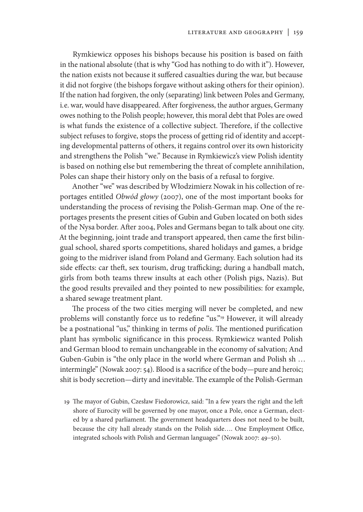Rymkiewicz opposes his bishops because his position is based on faith in the national absolute (that is why "God has nothing to do with it"). However, the nation exists not because it suffered casualties during the war, but because it did not forgive (the bishops forgave without asking others for their opinion). If the nation had forgiven, the only (separating) link between Poles and Germany, i.e. war, would have disappeared. After forgiveness, the author argues, Germany owes nothing to the Polish people; however, this moral debt that Poles are owed is what funds the existence of a collective subject. Therefore, if the collective subject refuses to forgive, stops the process of getting rid of identity and accepting developmental patterns of others, it regains control over its own historicity and strengthens the Polish "we." Because in Rymkiewicz's view Polish identity is based on nothing else but remembering the threat of complete annihilation, Poles can shape their history only on the basis of a refusal to forgive.

Another "we" was described by Włodzimierz Nowak in his collection of reportages entitled *Obwód głowy* (2007), one of the most important books for understanding the process of revising the Polish-German map. One of the reportages presents the present cities of Gubin and Guben located on both sides of the Nysa border. After 2004, Poles and Germans began to talk about one city. At the beginning, joint trade and transport appeared, then came the first bilingual school, shared sports competitions, shared holidays and games, a bridge going to the midriver island from Poland and Germany. Each solution had its side effects: car theft, sex tourism, drug trafficking; during a handball match, girls from both teams threw insults at each other (Polish pigs, Nazis). But the good results prevailed and they pointed to new possibilities: for example, a shared sewage treatment plant.

The process of the two cities merging will never be completed, and new problems will constantly force us to redefine "us."19 However, it will already be a postnational "us," thinking in terms of *polis*. The mentioned purification plant has symbolic significance in this process. Rymkiewicz wanted Polish and German blood to remain unchangeable in the economy of salvation; And Guben-Gubin is "the only place in the world where German and Polish sh … intermingle" (Nowak 2007: 54). Blood is a sacrifice of the body—pure and heroic; shit is body secretion—dirty and inevitable. The example of the Polish-German

19 The mayor of Gubin, Czesław Fiedorowicz, said: "In a few years the right and the left shore of Eurocity will be governed by one mayor, once a Pole, once a German, elected by a shared parliament. The government headquarters does not need to be built, because the city hall already stands on the Polish side…. One Employment Office, integrated schools with Polish and German languages" (Nowak 2007: 49–50).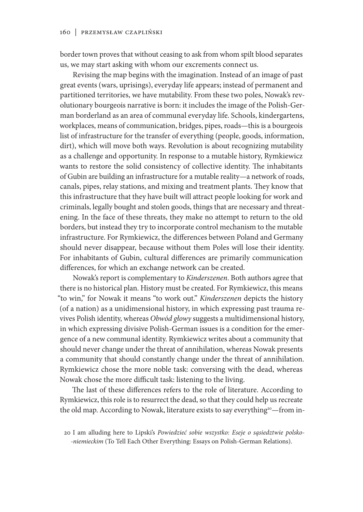border town proves that without ceasing to ask from whom spilt blood separates us, we may start asking with whom our excrements connect us.

Revising the map begins with the imagination. Instead of an image of past great events (wars, uprisings), everyday life appears; instead of permanent and partitioned territories, we have mutability. From these two poles, Nowak's revolutionary bourgeois narrative is born: it includes the image of the Polish-German borderland as an area of communal everyday life. Schools, kindergartens, workplaces, means of communication, bridges, pipes, roads—this is a bourgeois list of infrastructure for the transfer of everything (people, goods, information, dirt), which will move both ways. Revolution is about recognizing mutability as a challenge and opportunity. In response to a mutable history, Rymkiewicz wants to restore the solid consistency of collective identity. The inhabitants of Gubin are building an infrastructure for a mutable reality—a network of roads, canals, pipes, relay stations, and mixing and treatment plants. They know that this infrastructure that they have built will attract people looking for work and criminals, legally bought and stolen goods, things that are necessary and threatening. In the face of these threats, they make no attempt to return to the old borders, but instead they try to incorporate control mechanism to the mutable infrastructure. For Rymkiewicz, the differences between Poland and Germany should never disappear, because without them Poles will lose their identity. For inhabitants of Gubin, cultural differences are primarily communication differences, for which an exchange network can be created.

Nowak's report is complementary to *Kinderszenen*. Both authors agree that there is no historical plan. History must be created. For Rymkiewicz, this means "to win," for Nowak it means "to work out." *Kinderszenen* depicts the history (of a nation) as a unidimensional history, in which expressing past trauma revives Polish identity, whereas *Obwód głowy* suggests a multidimensional history, in which expressing divisive Polish-German issues is a condition for the emergence of a new communal identity. Rymkiewicz writes about a community that should never change under the threat of annihilation, whereas Nowak presents a community that should constantly change under the threat of annihilation. Rymkiewicz chose the more noble task: conversing with the dead, whereas Nowak chose the more difficult task: listening to the living.

The last of these differences refers to the role of literature. According to Rymkiewicz, this role is to resurrect the dead, so that they could help us recreate the old map. According to Nowak, literature exists to say everything<sup>20</sup>—from in-

<sup>20</sup> I am alluding here to Lipski's *Powiedzieć sobie wszystko: Eseje o sąsiedztwie polsko- -niemieckim* (To Tell Each Other Everything: Essays on Polish-German Relations).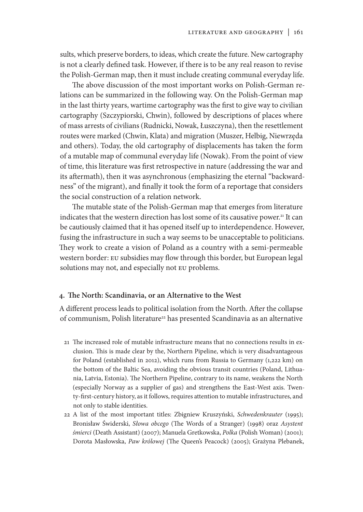sults, which preserve borders, to ideas, which create the future. New cartography is not a clearly defined task. However, if there is to be any real reason to revise the Polish-German map, then it must include creating communal everyday life.

The above discussion of the most important works on Polish-German relations can be summarized in the following way. On the Polish-German map in the last thirty years, wartime cartography was the first to give way to civilian cartography (Szczypiorski, Chwin), followed by descriptions of places where of mass arrests of civilians (Rudnicki, Nowak, Łuszczyna), then the resettlement routes were marked (Chwin, Klata) and migration (Muszer, Helbig, Niewrzęda and others). Today, the old cartography of displacements has taken the form of a mutable map of communal everyday life (Nowak). From the point of view of time, this literature was first retrospective in nature (addressing the war and its aftermath), then it was asynchronous (emphasizing the eternal "backwardness" of the migrant), and finally it took the form of a reportage that considers the social construction of a relation network.

The mutable state of the Polish-German map that emerges from literature indicates that the western direction has lost some of its causative power.<sup>21</sup> It can be cautiously claimed that it has opened itself up to interdependence. However, fusing the infrastructure in such a way seems to be unacceptable to politicians. They work to create a vision of Poland as a country with a semi-permeable western border: EU subsidies may flow through this border, but European legal solutions may not, and especially not EU problems.

### **4. The North: Scandinavia, or an Alternative to the West**

A different process leads to political isolation from the North. After the collapse of communism, Polish literature<sup>22</sup> has presented Scandinavia as an alternative

- 21 The increased role of mutable infrastructure means that no connections results in exclusion. This is made clear by the, Northern Pipeline, which is very disadvantageous for Poland (established in 2012), which runs from Russia to Germany (1,222 km) on the bottom of the Baltic Sea, avoiding the obvious transit countries (Poland, Lithuania, Latvia, Estonia). The Northern Pipeline, contrary to its name, weakens the North (especially Norway as a supplier of gas) and strengthens the East-West axis. Twenty-first-century history, as it follows, requires attention to mutable infrastructures, and not only to stable identities.
- 22 A list of the most important titles: Zbigniew Kruszyński, *Schwedenkrauter* (1995); Bronisław Świderski, *Słowa obcego* (The Words of a Stranger) (1998) oraz *Asystent śmierci* (Death Assistant) (2007); Manuela Gretkowska, *Polka* (Polish Woman) (2001); Dorota Masłowska, *Paw królowej* (The Queen's Peacock) (2005); Grażyna Plebanek,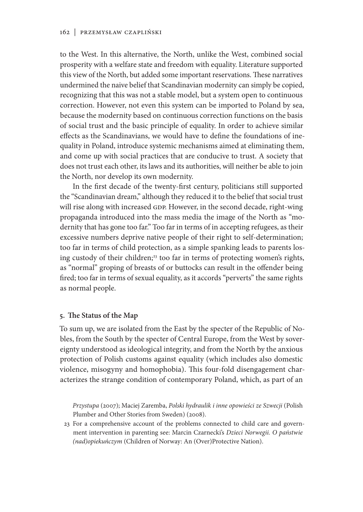to the West. In this alternative, the North, unlike the West, combined social prosperity with a welfare state and freedom with equality. Literature supported this view of the North, but added some important reservations. These narratives undermined the naive belief that Scandinavian modernity can simply be copied, recognizing that this was not a stable model, but a system open to continuous correction. However, not even this system can be imported to Poland by sea, because the modernity based on continuous correction functions on the basis of social trust and the basic principle of equality. In order to achieve similar effects as the Scandinavians, we would have to define the foundations of inequality in Poland, introduce systemic mechanisms aimed at eliminating them, and come up with social practices that are conducive to trust. A society that does not trust each other, its laws and its authorities, will neither be able to join the North, nor develop its own modernity.

In the first decade of the twenty-first century, politicians still supported the "Scandinavian dream," although they reduced it to the belief that social trust will rise along with increased GDP. However, in the second decade, right-wing propaganda introduced into the mass media the image of the North as "modernity that has gone too far." Too far in terms of in accepting refugees, as their excessive numbers deprive native people of their right to self-determination; too far in terms of child protection, as a simple spanking leads to parents losing custody of their children;<sup>23</sup> too far in terms of protecting women's rights, as "normal" groping of breasts of or buttocks can result in the offender being fired; too far in terms of sexual equality, as it accords "perverts" the same rights as normal people.

### **5. The Status of the Map**

To sum up, we are isolated from the East by the specter of the Republic of Nobles, from the South by the specter of Central Europe, from the West by sovereignty understood as ideological integrity, and from the North by the anxious protection of Polish customs against equality (which includes also domestic violence, misogyny and homophobia). This four-fold disengagement characterizes the strange condition of contemporary Poland, which, as part of an

*Przystupa* (2007); Maciej Zaremba, *Polski hydraulik i inne opowieści ze Szwecji* (Polish Plumber and Other Stories from Sweden) (2008).

23 For a comprehensive account of the problems connected to child care and government intervention in parenting see: Marcin Czarnecki's *Dzieci Norwegii. O państwie (nad)opiekuńczym* (Children of Norway: An (Over)Protective Nation).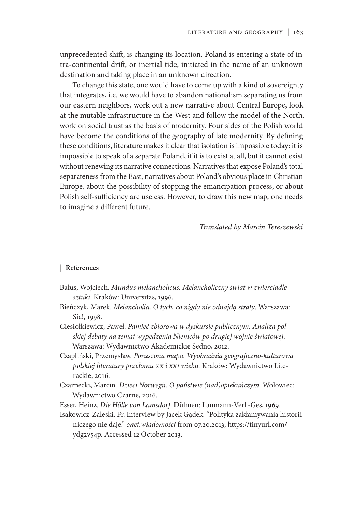unprecedented shift, is changing its location. Poland is entering a state of intra-continental drift, or inertial tide, initiated in the name of an unknown destination and taking place in an unknown direction.

To change this state, one would have to come up with a kind of sovereignty that integrates, i.e. we would have to abandon nationalism separating us from our eastern neighbors, work out a new narrative about Central Europe, look at the mutable infrastructure in the West and follow the model of the North, work on social trust as the basis of modernity. Four sides of the Polish world have become the conditions of the geography of late modernity. By defining these conditions, literature makes it clear that isolation is impossible today: it is impossible to speak of a separate Poland, if it is to exist at all, but it cannot exist without renewing its narrative connections. Narratives that expose Poland's total separateness from the East, narratives about Poland's obvious place in Christian Europe, about the possibility of stopping the emancipation process, or about Polish self-sufficiency are useless. However, to draw this new map, one needs to imagine a different future.

*Translated by Marcin Tereszewski*

## **| References**

- Bałus, Wojciech. *Mundus melancholicus. Melancholiczny świat w zwierciadle sztuki*. Kraków: Universitas, 1996.
- Bieńczyk, Marek. *Melancholia. O tych, co nigdy nie odnajdą straty*. Warszawa: Sic!, 1998.
- Ciesiołkiewicz, Paweł. *Pamięć zbiorowa w dyskursie publicznym. Analiza polskiej debaty na temat wypędzenia Niemców po drugiej wojnie światowej*. Warszawa: Wydawnictwo Akademickie Sedno, 2012.
- Czapliński, Przemysław. *Poruszona mapa. Wyobraźnia geograficzno-kulturowa polskiej literatury przełomu XX i XXI wieku.* Kraków: Wydawnictwo Literackie, 2016.
- Czarnecki, Marcin. *Dzieci Norwegii. O państwie (nad)opiekuńczym*. Wołowiec: Wydawnictwo Czarne, 2016.
- Esser, Heinz. *Die Hölle von Lamsdorf*. Dülmen: Laumann-Verl.-Ges, 1969.

Isakowicz-Zaleski, Fr. Interview by Jacek Gądek. "Polityka zakłamywania historii niczego nie daje." *onet.wiadomości* from 07.20.2013, https://tinyurl.com/ ydg2v54p. Accessed 12 October 2013.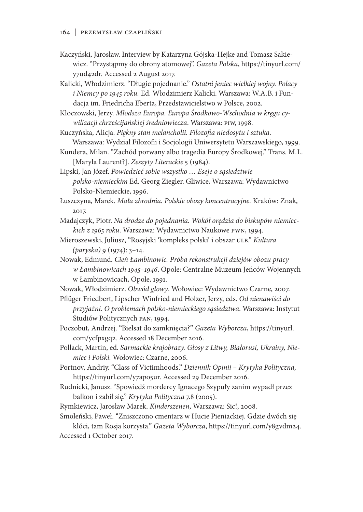- Kaczyński, Jarosław. Interview by Katarzyna Gójska-Hejke and Tomasz Sakiewicz. "Przystąpmy do obrony atomowej". *Gazeta Polska*, https://tinyurl.com/ y7ud42dr. Accessed 2 August 2017.
- Kalicki, Włodzimierz. "Długie pojednanie." *Ostatni jeniec wielkiej wojny. Polacy i Niemcy po 1945 roku.* Ed. Włodzimierz Kalicki. Warszawa: W.A.B. i Fundacja im. Friedricha Eberta, Przedstawicielstwo w Polsce, 2002.

Kłoczowski, Jerzy. *Młodsza Europa. Europa Środkowo-Wschodnia w kręgu cywilizacji chrześcijańskiej średniowiecza*. Warszawa: PIW, 1998.

- Kuczyńska, Alicja. *Piękny stan melancholii. Filozofia niedosytu i sztuka*. Warszawa: Wydział Filozofii i Socjologii Uniwersytetu Warszawskiego, 1999.
- Kundera, Milan. "Zachód porwany albo tragedia Europy Środkowej." Trans. M.L. [Maryla Laurent?]. *Zeszyty Literackie* 5 (1984).
- Lipski, Jan Józef. *Powiedzieć sobie wszystko … Eseje o sąsiedztwie polsko-niemieckim* Ed. Georg Ziegler. Gliwice, Warszawa: Wydawnictwo Polsko-Niemieckie, 1996.
- Łuszczyna, Marek. *Mała zbrodnia. Polskie obozy koncentracyjne.* Kraków: Znak, 2017.
- Madajczyk, Piotr. *Na drodze do pojednania. Wokół orędzia do biskupów niemieckich z 1965 roku*. Warszawa: Wydawnictwo Naukowe PWN, 1994.
- Mieroszewski, Juliusz, "Rosyjski 'kompleks polski' i obszar ULB." *Kultura (paryska)* 9 (1974): 3–14.
- Nowak, Edmund. *Cień Łambinowic. Próba rekonstrukcji dziejów obozu pracy w Łambinowicach 1945–1946*. Opole: Centralne Muzeum Jeńców Wojennych w Łambinowicach, Opole, 1991.

Nowak, Włodzimierz. *Obwód głowy*. Wołowiec: Wydawnictwo Czarne, 2007.

- Pflüger Friedbert, Lipscher Winfried and Holzer, Jerzy, eds. *Od nienawiści do przyjaźni. O problemach polsko-niemieckiego sąsiedztwa*. Warszawa: Instytut Studiów Politycznych PAN, 1994.
- Poczobut, Andrzej. "Biełsat do zamknięcia?" *Gazeta Wyborcza*, https://tinyurl. com/ycfpxgq2. Accessed 18 December 2016.
- Pollack, Martin, ed. *Sarmackie krajobrazy. Głosy z Litwy, Białorusi, Ukrainy, Niemiec i Polski.* Wołowiec: Czarne, 2006.
- Portnov, Andriy. "Class of Victimhoods." *Dziennik Opinii Krytyka Polityczna,* https://tinyurl.com/y7apo5ur. Accessed 29 December 2016.
- Rudnicki, Janusz. "Spowiedź mordercy Ignacego Szypuły zanim wypadł przez balkon i zabił się." *Krytyka Polityczna* 7.8 (2005).
- Rymkiewicz, Jarosław Marek. *Kinderszenen*, Warszawa: Sic!, 2008.

Smoleński, Paweł. "Zniszczono cmentarz w Hucie Pieniackiej. Gdzie dwóch się kłóci, tam Rosja korzysta." *Gazeta Wyborcza*, https://tinyurl.com/y8gvdm24. Accessed 1 October 2017.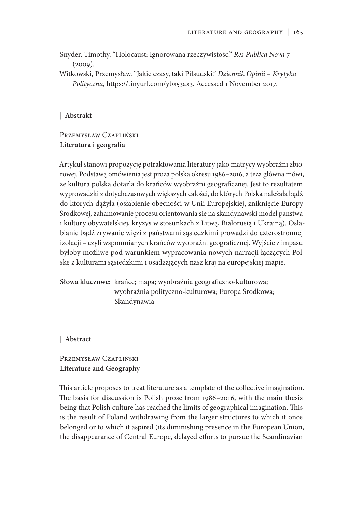Snyder, Timothy. "Holocaust: Ignorowana rzeczywistość." *Res Publica Nova* 7  $(2009)$ .

Witkowski, Przemysław. "Jakie czasy, taki Piłsudski." *Dziennik Opinii* – *Krytyka Polityczna,* https://tinyurl.com/ybx53ax3. Accessed 1 November 2017.

#### **| Abstrakt**

# Przemysław Czapliński **Literatura i geografia**

Artykuł stanowi propozycję potraktowania literatury jako matrycy wyobraźni zbiorowej. Podstawą omówienia jest proza polska okresu 1986–2016, a teza główna mówi, że kultura polska dotarła do krańców wyobraźni geograficznej. Jest to rezultatem wyprowadzki z dotychczasowych większych całości, do których Polska należała bądź do których dążyła (osłabienie obecności w Unii Europejskiej, zniknięcie Europy Środkowej, zahamowanie procesu orientowania się na skandynawski model państwa i kultury obywatelskiej, kryzys w stosunkach z Litwą, Białorusią i Ukrainą). Osłabianie bądź zrywanie więzi z państwami sąsiedzkimi prowadzi do czterostronnej izolacji – czyli wspomnianych krańców wyobraźni geograficznej. Wyjście z impasu byłoby możliwe pod warunkiem wypracowania nowych narracji łączących Polskę z kulturami sąsiedzkimi i osadzających nasz kraj na europejskiej mapie.

**Słowa kluczowe**: krańce; mapa; wyobraźnia geograficzno-kulturowa; wyobraźnia polityczno-kulturowa; Europa Środkowa; Skandynawia

### **| Abstract**

## Przemysław Czapliński **Literature and Geography**

This article proposes to treat literature as a template of the collective imagination. The basis for discussion is Polish prose from 1986–2016, with the main thesis being that Polish culture has reached the limits of geographical imagination. This is the result of Poland withdrawing from the larger structures to which it once belonged or to which it aspired (its diminishing presence in the European Union, the disappearance of Central Europe, delayed efforts to pursue the Scandinavian